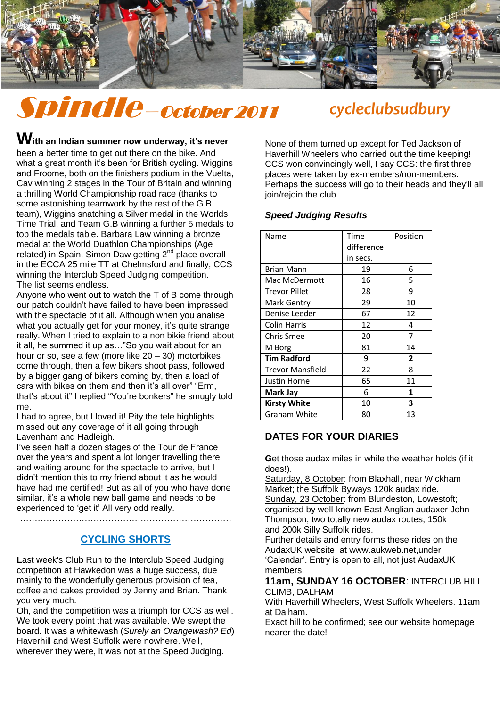

# Spindle –October 2011 *cycleclubsudbury*

With an Indian summer now underway, it's never been a better time to get out there on the bike. And what a great month it's been for British cycling. Wiggins and Froome, both on the finishers podium in the Vuelta, Cav winning 2 stages in the Tour of Britain and winning a thrilling World Championship road race (thanks to some astonishing teamwork by the rest of the G.B. team), Wiggins snatching a Silver medal in the Worlds Time Trial, and Team G.B winning a further 5 medals to top the medals table. Barbara Law winning a bronze medal at the World Duathlon Championships (Age medal at the World Duathlon Championships (Age related) in Spain, Simon Daw getting 2<sup>nd</sup> place overall in the ECCA 25 mile TT at Chelmsford and finally, CCS winning the Interclub Speed Judging competition. The list seems endless.

Anyone who went out to watch the T of B come through our patch couldn"t have failed to have been impressed with the spectacle of it all. Although when you analise what you actually get for your money, it's quite strange really. When I tried to explain to a non bikie friend about it all, he summed it up as…"So you wait about for an hour or so, see a few (more like 20 – 30) motorbikes come through, then a few bikers shoot pass, followed by a bigger gang of bikers coming by, then a load of cars with bikes on them and then it's all over" "Erm, that"s about it" I replied "You"re bonkers" he smugly told me.

I had to agree, but I loved it! Pity the tele highlights missed out any coverage of it all going through Lavenham and Hadleigh.

I"ve seen half a dozen stages of the Tour de France over the years and spent a lot longer travelling there and waiting around for the spectacle to arrive, but I didn"t mention this to my friend about it as he would have had me certified! But as all of you who have done similar, it's a whole new ball game and needs to be experienced to "get it" All very odd really.

………………………………………………………………

#### **CYCLING SHORTS**

**L**ast week's Club Run to the Interclub Speed Judging competition at Hawkedon was a huge success, due mainly to the wonderfully generous provision of tea, coffee and cakes provided by Jenny and Brian. Thank you very much.

Oh, and the competition was a triumph for CCS as well. We took every point that was available. We swept the board. It was a whitewash (*Surely an Orangewash? Ed*) Haverhill and West Suffolk were nowhere. Well, wherever they were, it was not at the Speed Judging.

None of them turned up except for Ted Jackson of Haverhill Wheelers who carried out the time keeping! CCS won convincingly well, I say CCS: the first three places were taken by ex-members/non-members. Perhaps the success will go to their heads and they"ll all join/rejoin the club.

#### *Speed Judging Results*

| Name                    | Time       | Position |
|-------------------------|------------|----------|
|                         | difference |          |
|                         | in secs.   |          |
| <b>Brian Mann</b>       | 19         | 6        |
| Mac McDermott           | 16         | 5        |
| Trevor Pillet           | 28         | 9        |
| Mark Gentry             | 29         | 10       |
| Denise Leeder           | 67         | 12       |
| Colin Harris            | 12         | 4        |
| <b>Chris Smee</b>       | 20         | 7        |
| M Borg                  | 81         | 14       |
| <b>Tim Radford</b>      | 9          | 2        |
| <b>Trevor Mansfield</b> | 22         | 8        |
| Justin Horne            | 65         | 11       |
| Mark Jay                | 6          | 1        |
| Kirsty White            | 10         | 3        |
| Graham White            | 80         | 13       |

# **DATES FOR YOUR DIARIES**

**G**et those audax miles in while the weather holds (if it does!).

Saturday, 8 October: from Blaxhall, near Wickham Market; the Suffolk Byways 120k audax ride. Sunday, 23 October: from Blundeston, Lowestoft; organised by well-known East Anglian audaxer John Thompson, two totally new audax routes, 150k and 200k Silly Suffolk rides.

Further details and entry forms these rides on the AudaxUK website, at www.aukweb.net,under "Calendar". Entry is open to all, not just AudaxUK members.

#### **11am, SUNDAY 16 OCTOBER**: INTERCLUB HILL CLIMB, DALHAM

With Haverhill Wheelers, West Suffolk Wheelers. 11am at Dalham.

Exact hill to be confirmed; see our website homepage nearer the date!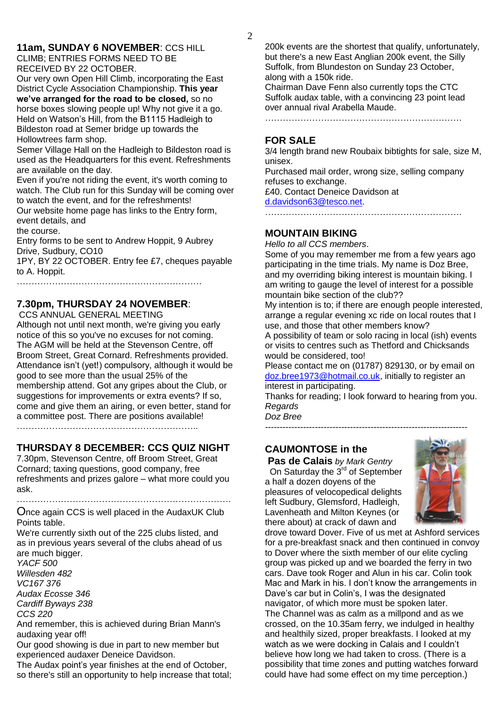#### **11am, SUNDAY 6 NOVEMBER**: CCS HILL CLIMB; ENTRIES FORMS NEED TO BE

RECEIVED BY 22 OCTOBER.

Our very own Open Hill Climb, incorporating the East District Cycle Association Championship. **This year we've arranged for the road to be closed,** so no horse boxes slowing people up! Why not give it a go. Held on Watson"s Hill, from the B1115 Hadleigh to Bildeston road at Semer bridge up towards the Hollowtrees farm shop.

Semer Village Hall on the Hadleigh to Bildeston road is used as the Headquarters for this event. Refreshments are available on the day.

Even if you're not riding the event, it's worth coming to watch. The Club run for this Sunday will be coming over to watch the event, and for the refreshments!

Our website home page has links to the Entry form, event details, and

the course.

Entry forms to be sent to Andrew Hoppit, 9 Aubrey Drive, Sudbury, CO10

1PY, BY 22 OCTOBER. Entry fee £7, cheques payable to A. Hoppit.

………………………………………………………………

# **7.30pm, THURSDAY 24 NOVEMBER**:

CCS ANNUAL GENERAL MEETING

Although not until next month, we're giving you early notice of this so you've no excuses for not coming. The AGM will be held at the Stevenson Centre, off Broom Street, Great Cornard. Refreshments provided. Attendance isn"t (yet!) compulsory, although it would be good to see more than the usual 25% of the membership attend. Got any gripes about the Club, or suggestions for improvements or extra events? If so, come and give them an airing, or even better, stand for a committee post. There are positions available!

……………………………………………………..

# **THURSDAY 8 DECEMBER: CCS QUIZ NIGHT**

7.30pm, Stevenson Centre, off Broom Street, Great Cornard; taxing questions, good company, free refreshments and prizes galore – what more could you ask.

……………………………………………………………….

Once again CCS is well placed in the AudaxUK Club Points table.

We're currently sixth out of the 225 clubs listed, and as in previous years several of the clubs ahead of us are much bigger.

*YACF 500 Willesden 482 VC167 376 Audax Ecosse 346 Cardiff Byways 238 CCS 220*

And remember, this is achieved during Brian Mann's audaxing year off!

Our good showing is due in part to new member but experienced audaxer Deneice Davidson.

The Audax point"s year finishes at the end of October, so there's still an opportunity to help increase that total; 200k events are the shortest that qualify, unfortunately, but there's a new East Anglian 200k event, the Silly Suffolk, from Blundeston on Sunday 23 October, along with a 150k ride.

Chairman Dave Fenn also currently tops the CTC Suffolk audax table, with a convincing 23 point lead over annual rival Arabella Maude.

………………………………………………………….

### **FOR SALE**

3/4 length brand new Roubaix bibtights for sale, size M, unisex.

Purchased mail order, wrong size, selling company refuses to exchange.

£40. Contact Deneice Davidson at [d.davidson63@tesco.net.](mailto:d.davidson63@tesco.net)

………………………………………………………….

#### **MOUNTAIN BIKING**

*Hello to all CCS members*.

Some of you may remember me from a few years ago participating in the time trials. My name is Doz Bree, and my overriding biking interest is mountain biking. I am writing to gauge the level of interest for a possible mountain bike section of the club??

My intention is to; if there are enough people interested, arrange a regular evening xc ride on local routes that I use, and those that other members know?

A possibility of team or solo racing in local (ish) events or visits to centres such as Thetford and Chicksands would be considered, too!

Please contact me on (01787) 829130, or by email on [doz.bree1973@hotmail.co.uk,](mailto:doz.bree1973@hotmail.co.uk) initially to register an interest in participating.

Thanks for reading; I look forward to hearing from you. *Regards*

*Doz Bree*

# **CAUMONTOSE in the**

**Pas de Calais** *by Mark Gentry* On Saturday the  $3<sup>rd</sup>$  of September a half a dozen doyens of the pleasures of velocopedical delights left Sudbury, Glemsford, Hadleigh, Lavenheath and Milton Keynes (or there about) at crack of dawn and



drove toward Dover. Five of us met at Ashford services for a pre-breakfast snack and then continued in convoy to Dover where the sixth member of our elite cycling group was picked up and we boarded the ferry in two cars. Dave took Roger and Alun in his car. Colin took Mac and Mark in his. I don"t know the arrangements in Dave's car but in Colin's, I was the designated navigator, of which more must be spoken later. The Channel was as calm as a millpond and as we crossed, on the 10.35am ferry, we indulged in healthy and healthily sized, proper breakfasts. I looked at my watch as we were docking in Calais and I couldn"t believe how long we had taken to cross. (There is a possibility that time zones and putting watches forward could have had some effect on my time perception.)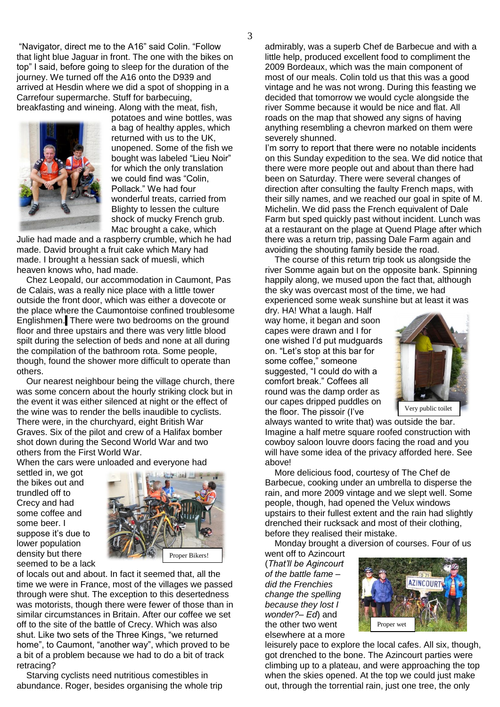"Navigator, direct me to the A16" said Colin. "Follow that light blue Jaguar in front. The one with the bikes on top" I said, before going to sleep for the duration of the journey. We turned off the A16 onto the D939 and arrived at Hesdin where we did a spot of shopping in a Carrefour supermarche. Stuff for barbecuing, breakfasting and wineing. Along with the meat, fish,



potatoes and wine bottles, was a bag of healthy apples, which returned with us to the UK, unopened. Some of the fish we bought was labeled "Lieu Noir" for which the only translation we could find was "Colin, Pollack." We had four wonderful treats, carried from Blighty to lessen the culture shock of mucky French grub. Mac brought a cake, which

Julie had made and a raspberry crumble, which he had made. David brought a fruit cake which Mary had made. I brought a hessian sack of muesli, which heaven knows who, had made.

 Chez Leopald, our accommodation in Caumont, Pas de Calais, was a really nice place with a little tower outside the front door, which was either a dovecote or the place where the Caumontoise confined troublesome Englishmen. There were two bedrooms on the ground floor and three upstairs and there was very little blood spilt during the selection of beds and none at all during the compilation of the bathroom rota. Some people, though, found the shower more difficult to operate than others.

 Our nearest neighbour being the village church, there was some concern about the hourly striking clock but in the event it was either silenced at night or the effect of the wine was to render the bells inaudible to cyclists. There were, in the churchyard, eight British War Graves. Six of the pilot and crew of a Halifax bomber shot down during the Second World War and two others from the First World War.

When the cars were unloaded and everyone had

settled in, we got the bikes out and trundled off to Crecy and had some coffee and some beer. I suppose it's due to lower population density but there seemed to be a lack



of locals out and about. In fact it seemed that, all the time we were in France, most of the villages we passed through were shut. The exception to this desertedness was motorists, though there were fewer of those than in similar circumstances in Britain. After our coffee we set off to the site of the battle of Crecy. Which was also shut. Like two sets of the Three Kings, "we returned home", to Caumont, "another way", which proved to be a bit of a problem because we had to do a bit of track retracing?

 Starving cyclists need nutritious comestibles in abundance. Roger, besides organising the whole trip admirably, was a superb Chef de Barbecue and with a little help, produced excellent food to compliment the 2009 Bordeaux, which was the main component of most of our meals. Colin told us that this was a good vintage and he was not wrong. During this feasting we decided that tomorrow we would cycle alongside the river Somme because it would be nice and flat. All roads on the map that showed any signs of having anything resembling a chevron marked on them were severely shunned.

I'm sorry to report that there were no notable incidents on this Sunday expedition to the sea. We did notice that there were more people out and about than there had been on Saturday. There were several changes of direction after consulting the faulty French maps, with their silly names, and we reached our goal in spite of M. Michelin. We did pass the French equivalent of Dale Farm but sped quickly past without incident. Lunch was at a restaurant on the plage at Quend Plage after which there was a return trip, passing Dale Farm again and avoiding the shouting family beside the road.

 The course of this return trip took us alongside the river Somme again but on the opposite bank. Spinning happily along, we mused upon the fact that, although the sky was overcast most of the time, we had experienced some weak sunshine but at least it was

dry. HA! What a laugh. Half way home, it began and soon capes were drawn and I for one wished I"d put mudguards on. "Let"s stop at this bar for some coffee," someone suggested, "I could do with a comfort break." Coffees all round was the damp order as our capes dripped puddles on the floor. The pissoir (I"ve



always wanted to write that) was outside the bar. Imagine a half metre square roofed construction with cowboy saloon louvre doors facing the road and you will have some idea of the privacy afforded here. See above!

 More delicious food, courtesy of The Chef de Barbecue, cooking under an umbrella to disperse the rain, and more 2009 vintage and we slept well. Some people, though, had opened the Velux windows upstairs to their fullest extent and the rain had slightly drenched their rucksack and most of their clothing, before they realised their mistake.

Monday brought a diversion of courses. Four of us

went off to Azincourt (*That'll be Agincourt of the battle fame – did the Frenchies change the spelling because they lost I wonder?– Ed*) and the other two went elsewhere at a more



leisurely pace to explore the local cafes. All six, though, got drenched to the bone. The Azincourt parties were climbing up to a plateau, and were approaching the top when the skies opened. At the top we could just make out, through the torrential rain, just one tree, the only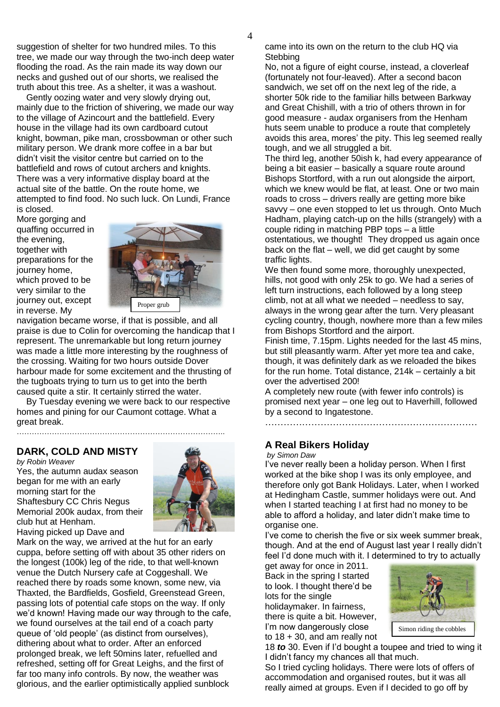suggestion of shelter for two hundred miles. To this tree, we made our way through the two-inch deep water flooding the road. As the rain made its way down our necks and gushed out of our shorts, we realised the truth about this tree. As a shelter, it was a washout.

 Gently oozing water and very slowly drying out, mainly due to the friction of shivering, we made our way to the village of Azincourt and the battlefield. Every house in the village had its own cardboard cutout knight, bowman, pike man, crossbowman or other such military person. We drank more coffee in a bar but didn"t visit the visitor centre but carried on to the battlefield and rows of cutout archers and knights. There was a very informative display board at the actual site of the battle. On the route home, we attempted to find food. No such luck. On Lundi, France is closed.

More gorging and quaffing occurred in the evening, together with preparations for the journey home, which proved to be very similar to the journey out, except in reverse. My



navigation became worse, if that is possible, and all praise is due to Colin for overcoming the handicap that I represent. The unremarkable but long return journey was made a little more interesting by the roughness of the crossing. Waiting for two hours outside Dover harbour made for some excitement and the thrusting of the tugboats trying to turn us to get into the berth caused quite a stir. It certainly stirred the water.

 By Tuesday evening we were back to our respective homes and pining for our Caumont cottage. What a great break.

#### **DARK, COLD AND MISTY**

………………………………………………………………………..

*by Robin Weaver* Yes, the autumn audax season began for me with an early morning start for the Shaftesbury CC Chris Negus Memorial 200k audax, from their club hut at Henham. Having picked up Dave and



Mark on the way, we arrived at the hut for an early cuppa, before setting off with about 35 other riders on the longest (100k) leg of the ride, to that well-known venue the Dutch Nursery cafe at Coggeshall. We reached there by roads some known, some new, via Thaxted, the Bardfields, Gosfield, Greenstead Green, passing lots of potential cafe stops on the way. If only we'd known! Having made our way through to the cafe, we found ourselves at the tail end of a coach party queue of "old people" (as distinct from ourselves), dithering about what to order. After an enforced prolonged break, we left 50mins later, refuelled and refreshed, setting off for Great Leighs, and the first of far too many info controls. By now, the weather was glorious, and the earlier optimistically applied sunblock

came into its own on the return to the club HQ via **Stebbing** 

No, not a figure of eight course, instead, a cloverleaf (fortunately not four-leaved). After a second bacon sandwich, we set off on the next leg of the ride, a shorter 50k ride to the familiar hills between Barkway and Great Chishill, with a trio of others thrown in for good measure - audax organisers from the Henham huts seem unable to produce a route that completely avoids this area, mores' the pity. This leg seemed really tough, and we all struggled a bit.

The third leg, another 50ish k, had every appearance of being a bit easier – basically a square route around Bishops Stortford, with a run out alongside the airport, which we knew would be flat, at least. One or two main roads to cross – drivers really are getting more bike savvy – one even stopped to let us through. Onto Much Hadham, playing catch-up on the hills (strangely) with a couple riding in matching PBP tops – a little ostentatious, we thought! They dropped us again once back on the flat – well, we did get caught by some traffic lights.

We then found some more, thoroughly unexpected, hills, not good with only 25k to go. We had a series of left turn instructions, each followed by a long steep climb, not at all what we needed – needless to say, always in the wrong gear after the turn. Very pleasant cycling country, though, nowhere more than a few miles from Bishops Stortford and the airport.

Finish time, 7.15pm. Lights needed for the last 45 mins, but still pleasantly warm. After yet more tea and cake, though, it was definitely dark as we reloaded the bikes for the run home. Total distance, 214k – certainly a bit over the advertised 200!

A completely new route (with fewer info controls) is promised next year – one leg out to Haverhill, followed by a second to Ingatestone.

……………………………………………………………

# **A Real Bikers Holiday**

*by Simon Daw*

I"ve never really been a holiday person. When I first worked at the bike shop I was its only employee, and therefore only got Bank Holidays. Later, when I worked at Hedingham Castle, summer holidays were out. And when I started teaching I at first had no money to be able to afford a holiday, and later didn"t make time to organise one.

I"ve come to cherish the five or six week summer break, though. And at the end of August last year I really didn"t feel I"d done much with it. I determined to try to actually

get away for once in 2011. Back in the spring I started to look. I thought there"d be lots for the single holidaymaker. In fairness, there is quite a bit. However, I'm now dangerously close to  $18 + 30$ , and am really not



Simon riding the cobbles

18 *to* 30. Even if I"d bought a toupee and tried to wing it I didn"t fancy my chances all that much.

So I tried cycling holidays. There were lots of offers of accommodation and organised routes, but it was all really aimed at groups. Even if I decided to go off by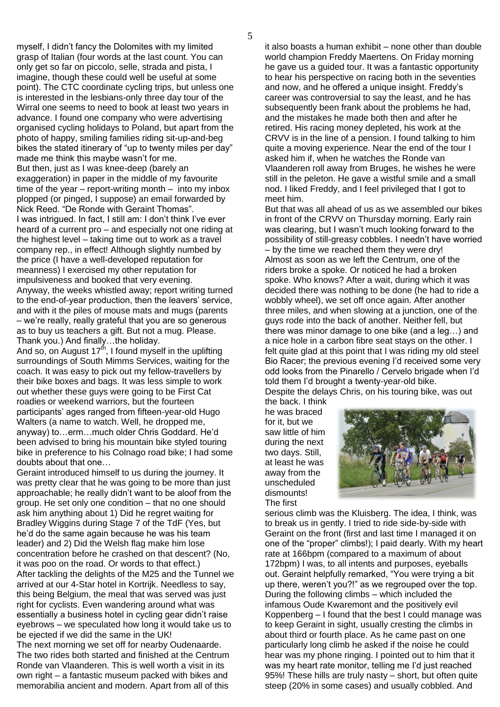myself, I didn"t fancy the Dolomites with my limited grasp of Italian (four words at the last count. You can only get so far on piccolo, selle, strada and pista, I imagine, though these could well be useful at some point). The CTC coordinate cycling trips, but unless one is interested in the lesbians-only three day tour of the Wirral one seems to need to book at least two years in advance. I found one company who were advertising organised cycling holidays to Poland, but apart from the photo of happy, smiling families riding sit-up-and-beg bikes the stated itinerary of "up to twenty miles per day" made me think this maybe wasn"t for me. But then, just as I was knee-deep (barely an exaggeration) in paper in the middle of my favourite time of the year – report-writing month – into my inbox plopped (or pinged, I suppose) an email forwarded by Nick Reed. "De Ronde with Geraint Thomas". I was intrigued. In fact, I still am: I don't think I've ever heard of a current pro – and especially not one riding at the highest level – taking time out to work as a travel company rep., in effect! Although slightly numbed by the price (I have a well-developed reputation for meanness) I exercised my other reputation for impulsiveness and booked that very evening. Anyway, the weeks whistled away; report writing turned to the end-of-year production, then the leavers' service, and with it the piles of mouse mats and mugs (parents – we"re really, really grateful that you are so generous as to buy us teachers a gift. But not a mug. Please. Thank you.) And finally…the holiday.

And so, on August  $17<sup>th</sup>$ , I found myself in the uplifting surroundings of South Mimms Services, waiting for the coach. It was easy to pick out my fellow-travellers by their bike boxes and bags. It was less simple to work out whether these guys were going to be First Cat roadies or weekend warriors, but the fourteen participants" ages ranged from fifteen-year-old Hugo Walters (a name to watch. Well, he dropped me, anyway) to…erm…much older Chris Goddard. He"d been advised to bring his mountain bike styled touring bike in preference to his Colnago road bike; I had some doubts about that one…

Geraint introduced himself to us during the journey. It was pretty clear that he was going to be more than just approachable; he really didn"t want to be aloof from the group. He set only one condition – that no one should ask him anything about 1) Did he regret waiting for Bradley Wiggins during Stage 7 of the TdF (Yes, but he"d do the same again because he was his team leader) and 2) Did the Welsh flag make him lose concentration before he crashed on that descent? (No, it was poo on the road. Or words to that effect.) After tackling the delights of the M25 and the Tunnel we arrived at our 4-Star hotel in Kortrijk. Needless to say, this being Belgium, the meal that was served was just right for cyclists. Even wandering around what was essentially a business hotel in cycling gear didn"t raise eyebrows – we speculated how long it would take us to be ejected if we did the same in the UK! The next morning we set off for nearby Oudenaarde.

The two rides both started and finished at the Centrum Ronde van Vlaanderen. This is well worth a visit in its own right – a fantastic museum packed with bikes and memorabilia ancient and modern. Apart from all of this

it also boasts a human exhibit – none other than double world champion Freddy Maertens. On Friday morning he gave us a guided tour. It was a fantastic opportunity to hear his perspective on racing both in the seventies and now, and he offered a unique insight. Freddy"s career was controversial to say the least, and he has subsequently been frank about the problems he had, and the mistakes he made both then and after he retired. His racing money depleted, his work at the CRVV is in the line of a pension. I found talking to him quite a moving experience. Near the end of the tour I asked him if, when he watches the Ronde van Vlaanderen roll away from Bruges, he wishes he were still in the peleton. He gave a wistful smile and a small nod. I liked Freddy, and I feel privileged that I got to meet him.

But that was all ahead of us as we assembled our bikes in front of the CRVV on Thursday morning. Early rain was clearing, but I wasn"t much looking forward to the possibility of still-greasy cobbles. I needn"t have worried – by the time we reached them they were dry! Almost as soon as we left the Centrum, one of the riders broke a spoke. Or noticed he had a broken spoke. Who knows? After a wait, during which it was decided there was nothing to be done (he had to ride a wobbly wheel), we set off once again. After another three miles, and when slowing at a junction, one of the guys rode into the back of another. Neither fell, but there was minor damage to one bike (and a leg…) and a nice hole in a carbon fibre seat stays on the other. I felt quite glad at this point that I was riding my old steel Bio Racer; the previous evening I"d received some very odd looks from the Pinarello / Cervelo brigade when I"d told them I"d brought a twenty-year-old bike. Despite the delays Chris, on his touring bike, was out

the back. I think he was braced for it, but we saw little of him during the next two days. Still, at least he was away from the unscheduled dismounts! The first



serious climb was the Kluisberg. The idea, I think, was to break us in gently. I tried to ride side-by-side with Geraint on the front (first and last time I managed it on one of the "proper" climbs!); I paid dearly. With my heart rate at 166bpm (compared to a maximum of about 172bpm) I was, to all intents and purposes, eyeballs out. Geraint helpfully remarked, "You were trying a bit up there, weren't you?!" as we regrouped over the top. During the following climbs – which included the infamous Oude Kwaremont and the positively evil Koppenberg – I found that the best I could manage was to keep Geraint in sight, usually cresting the climbs in about third or fourth place. As he came past on one particularly long climb he asked if the noise he could hear was my phone ringing. I pointed out to him that it was my heart rate monitor, telling me I"d just reached 95%! These hills are truly nasty – short, but often quite steep (20% in some cases) and usually cobbled. And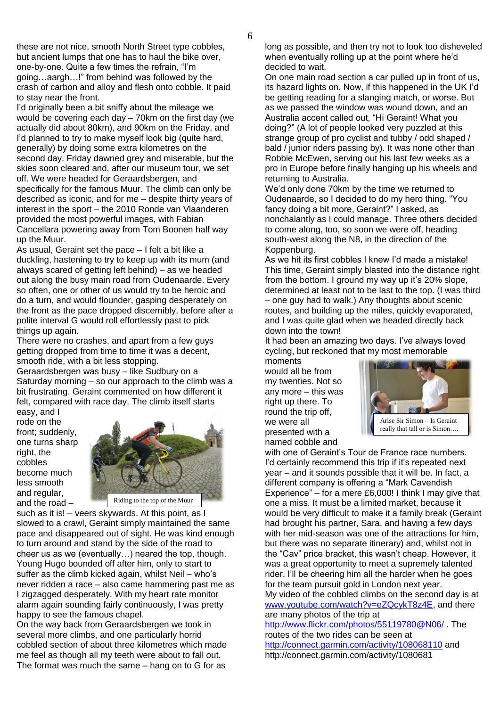these are not nice, smooth North Street type cobbles, but ancient lumps that one has to haul the bike over, one-by-one. Quite a few times the refrain, "I"m going…aargh…!" from behind was followed by the crash of carbon and alloy and flesh onto cobble. It paid to stay near the front.

I"d originally been a bit sniffy about the mileage we would be covering each day – 70km on the first day (we actually did about 80km), and 90km on the Friday, and I"d planned to try to make myself look big (quite hard, generally) by doing some extra kilometres on the second day. Friday dawned grey and miserable, but the skies soon cleared and, after our museum tour, we set off. We were headed for Geraardsbergen, and specifically for the famous Muur. The climb can only be described as iconic, and for me – despite thirty years of interest in the sport – the 2010 Ronde van Vlaanderen provided the most powerful images, with Fabian Cancellara powering away from Tom Boonen half way up the Muur.

As usual, Geraint set the pace – I felt a bit like a duckling, hastening to try to keep up with its mum (and always scared of getting left behind) – as we headed out along the busy main road from Oudenaarde. Every so often, one or other of us would try to be heroic and do a turn, and would flounder, gasping desperately on the front as the pace dropped discernibly, before after a polite interval G would roll effortlessly past to pick things up again.

There were no crashes, and apart from a few guys getting dropped from time to time it was a decent, smooth ride, with a bit less stopping.

Geraardsbergen was busy – like Sudbury on a Saturday morning – so our approach to the climb was a bit frustrating. Geraint commented on how different it felt, compared with race day. The climb itself starts

easy, and I rode on the front; suddenly, one turns sharp right, the cobbles become much less smooth and regular, and the road –



such as it is! – veers skywards. At this point, as I slowed to a crawl, Geraint simply maintained the same pace and disappeared out of sight. He was kind enough to turn around and stand by the side of the road to cheer us as we (eventually…) neared the top, though. Young Hugo bounded off after him, only to start to suffer as the climb kicked again, whilst Neil – who"s never ridden a race – also came hammering past me as I zigzagged desperately. With my heart rate monitor alarm again sounding fairly continuously, I was pretty happy to see the famous chapel.

On the way back from Geraardsbergen we took in several more climbs, and one particularly horrid cobbled section of about three kilometres which made me feel as though all my teeth were about to fall out. The format was much the same – hang on to G for as

long as possible, and then try not to look too disheveled when eventually rolling up at the point where he"d decided to wait.

On one main road section a car pulled up in front of us, its hazard lights on. Now, if this happened in the UK I"d be getting reading for a slanging match, or worse. But as we passed the window was wound down, and an Australia accent called out, "Hi Geraint! What you doing?" (A lot of people looked very puzzled at this strange group of pro cyclist and tubby / odd shaped / bald / junior riders passing by). It was none other than Robbie McEwen, serving out his last few weeks as a pro in Europe before finally hanging up his wheels and returning to Australia.

We"d only done 70km by the time we returned to Oudenaarde, so I decided to do my hero thing. "You fancy doing a bit more, Geraint?" I asked, as nonchalantly as I could manage. Three others decided to come along, too, so soon we were off, heading south-west along the N8, in the direction of the Koppenburg.

As we hit its first cobbles I knew I"d made a mistake! This time, Geraint simply blasted into the distance right from the bottom. I ground my way up it's 20% slope, determined at least not to be last to the top. (I was third – one guy had to walk.) Any thoughts about scenic routes, and building up the miles, quickly evaporated, and I was quite glad when we headed directly back down into the town!

It had been an amazing two days. I've always loved cycling, but reckoned that my most memorable moments

would all be from my twenties. Not so any more – this was right up there. To round the trip off, we were all presented with a named cobble and



with one of Geraint's Tour de France race numbers. I'd certainly recommend this trip if it's repeated next year – and it sounds possible that it will be. In fact, a different company is offering a "Mark Cavendish Experience" – for a mere £6,000! I think I may give that one a miss. It must be a limited market, because it would be very difficult to make it a family break (Geraint had brought his partner, Sara, and having a few days with her mid-season was one of the attractions for him, but there was no separate itinerary) and, whilst not in the "Cav" price bracket, this wasn"t cheap. However, it was a great opportunity to meet a supremely talented rider. I"ll be cheering him all the harder when he goes for the team pursuit gold in London next year. My video of the cobbled climbs on the second day is at

[www.youtube.com/watch?v=eZQcykT8z4E,](http://www.youtube.com/watch?v=eZQcykT8z4E) and there are many photos of the trip at

<http://www.flickr.com/photos/55119780@N06/> . The routes of the two rides can be seen at <http://connect.garmin.com/activity/108068110> and http://connect.garmin.com/activity/1080681